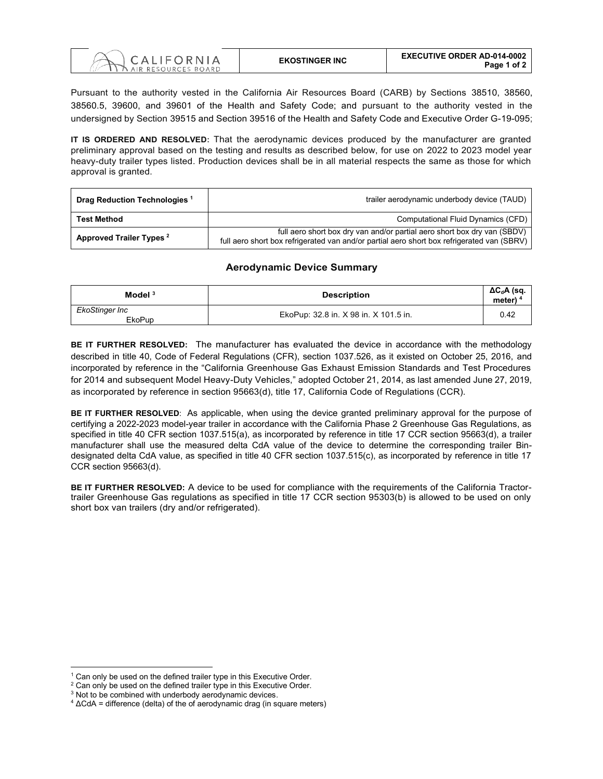

Pursuant to the authority vested in the California Air Resources Board (CARB) by Sections 38510, 38560, 38560.5, 39600, and 39601 of the Health and Safety Code; and pursuant to the authority vested in the undersigned by Section 39515 and Section 39516 of the Health and Safety Code and Executive Order G-19-095;

**IT IS ORDERED AND RESOLVED:** That the aerodynamic devices produced by the manufacturer are granted preliminary approval based on the testing and results as described below, for use on 2022 to 2023 model year heavy-duty trailer types listed. Production devices shall be in all material respects the same as those for which approval is granted.

| Drag Reduction Technologies <sup>1</sup> | trailer aerodynamic underbody device (TAUD)                                                                                                                            |
|------------------------------------------|------------------------------------------------------------------------------------------------------------------------------------------------------------------------|
| <b>Test Method</b>                       | Computational Fluid Dynamics (CFD)                                                                                                                                     |
| Approved Trailer Types <sup>2</sup>      | full aero short box dry van and/or partial aero short box dry van (SBDV)<br>full aero short box refrigerated van and/or partial aero short box refrigerated van (SBRV) |

## **Aerodynamic Device Summary**

| Model $3$                       | <b>Description</b>                    | $\Delta C_d$ A (sq.<br>meter) $4$ |
|---------------------------------|---------------------------------------|-----------------------------------|
| EkoStinger Inc<br><b>EkoPup</b> | EkoPup: 32.8 in. X 98 in. X 101.5 in. | 0.42                              |

**BE IT FURTHER RESOLVED:** The manufacturer has evaluated the device in accordance with the methodology described in title 40, Code of Federal Regulations (CFR), section 1037.526, as it existed on October 25, 2016, and incorporated by reference in the "California Greenhouse Gas Exhaust Emission Standards and Test Procedures for 2014 and subsequent Model Heavy-Duty Vehicles," adopted October 21, 2014, as last amended June 27, 2019, as incorporated by reference in section 95663(d), title 17, California Code of Regulations (CCR).

**BE IT FURTHER RESOLVED**: As applicable, when using the device granted preliminary approval for the purpose of certifying a 2022-2023 model-year trailer in accordance with the California Phase 2 Greenhouse Gas Regulations, as specified in title 40 CFR section 1037.515(a), as incorporated by reference in title 17 CCR section 95663(d), a trailer manufacturer shall use the measured delta CdA value of the device to determine the corresponding trailer Bindesignated delta CdA value, as specified in title 40 CFR section 1037.515(c), as incorporated by reference in title 17 CCR section 95663(d).

**BE IT FURTHER RESOLVED:** A device to be used for compliance with the requirements of the California Tractortrailer Greenhouse Gas regulations as specified in title 17 CCR section 95303(b) is allowed to be used on only short box van trailers (dry and/or refrigerated).

 $1$  Can only be used on the defined trailer type in this Executive Order.

<sup>&</sup>lt;sup>2</sup> Can only be used on the defined trailer type in this Executive Order.

<sup>&</sup>lt;sup>3</sup> Not to be combined with underbody aerodynamic devices.

 $4 \Delta$ CdA = difference (delta) of the of aerodynamic drag (in square meters)